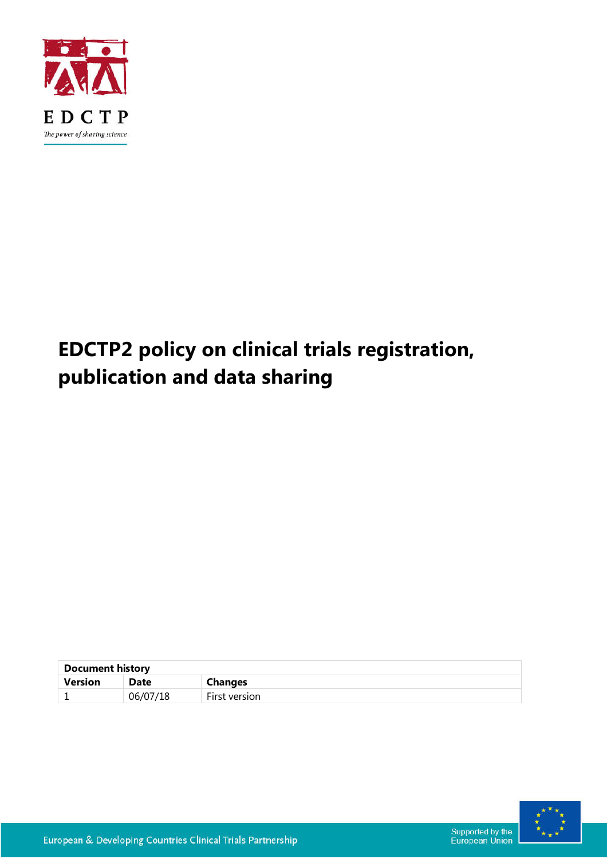

# **EDCTP2 policy on clinical trials registration, publication and data sharing**

| <b>Document history</b> |          |               |  |
|-------------------------|----------|---------------|--|
| <b>Version</b>          | Date     | Changes       |  |
|                         | 06/07/18 | First version |  |



Supported by the<br>European Union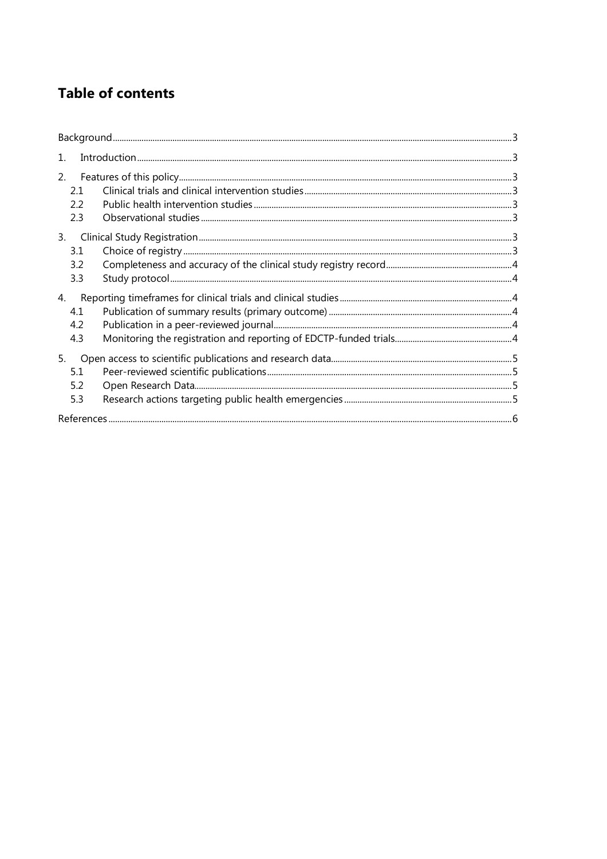# **Table of contents**

| $1_{\cdot}$             |  |  |
|-------------------------|--|--|
| 2.<br>2.1<br>2.2<br>2.3 |  |  |
| 3.<br>3.1<br>3.2<br>3.3 |  |  |
| 4.<br>4.1<br>4.2<br>4.3 |  |  |
| 5.<br>5.1<br>5.2<br>5.3 |  |  |
|                         |  |  |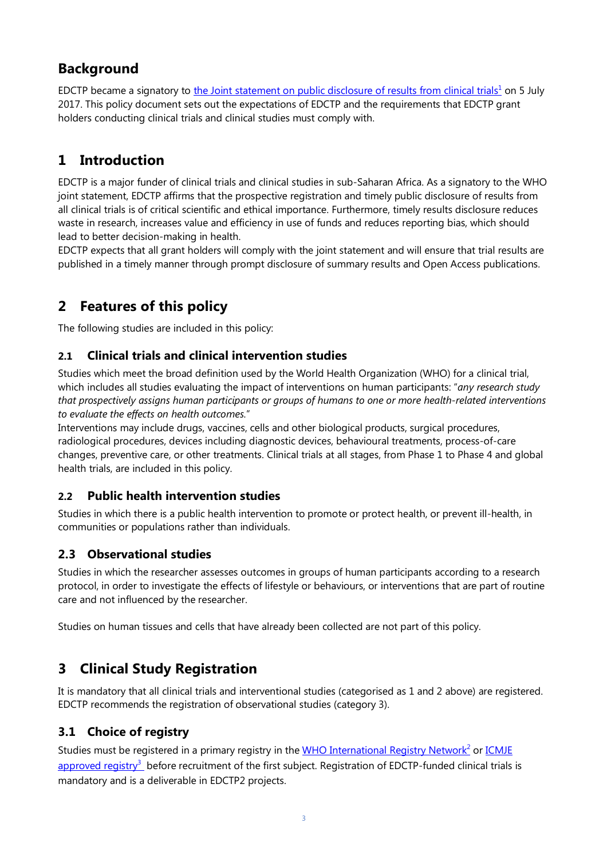# **Background**

EDCTP became a signatory to [the Joint statement on public disclosure of results from clinical trials](http://www.who.int/ictrp/results/jointstatement/en/)<sup>1</sup> on 5 July 2017. This policy document sets out the expectations of EDCTP and the requirements that EDCTP grant holders conducting clinical trials and clinical studies must comply with.

# **1 Introduction**

EDCTP is a major funder of clinical trials and clinical studies in sub-Saharan Africa. As a signatory to the WHO joint statement, EDCTP affirms that the prospective registration and timely public disclosure of results from all clinical trials is of critical scientific and ethical importance. Furthermore, timely results disclosure reduces waste in research, increases value and efficiency in use of funds and reduces reporting bias, which should lead to better decision-making in health.

EDCTP expects that all grant holders will comply with the joint statement and will ensure that trial results are published in a timely manner through prompt disclosure of summary results and Open Access publications.

# **2 Features of this policy**

The following studies are included in this policy:

#### **2.1 Clinical trials and clinical intervention studies**

Studies which meet the broad definition used by the World Health Organization (WHO) for a clinical trial, which includes all studies evaluating the impact of interventions on human participants: "*any research study that prospectively assigns human participants or groups of humans to one or more health-related interventions to evaluate the effects on health outcomes.*"

Interventions may include drugs, vaccines, cells and other biological products, surgical procedures, radiological procedures, devices including diagnostic devices, behavioural treatments, process-of-care changes, preventive care, or other treatments. Clinical trials at all stages, from Phase 1 to Phase 4 and global health trials, are included in this policy.

#### **2.2 Public health intervention studies**

Studies in which there is a public health intervention to promote or protect health, or prevent ill-health, in communities or populations rather than individuals.

#### **2.3 Observational studies**

Studies in which the researcher assesses outcomes in groups of human participants according to a research protocol, in order to investigate the effects of lifestyle or behaviours, or interventions that are part of routine care and not influenced by the researcher.

Studies on human tissues and cells that have already been collected are not part of this policy.

## **3 Clinical Study Registration**

It is mandatory that all clinical trials and interventional studies (categorised as 1 and 2 above) are registered. EDCTP recommends the registration of observational studies (category 3).

#### **3.1 Choice of registry**

Studies must be registered in a primary registry in the [WHO International Registry Network](http://www.who.int/ictrp/network/primary/en/)<sup>2</sup> or ICMJE approved registry<sup>3</sup> before recruitment of the first subject. Registration of EDCTP-funded clinical trials is mandatory and is a deliverable in EDCTP2 projects.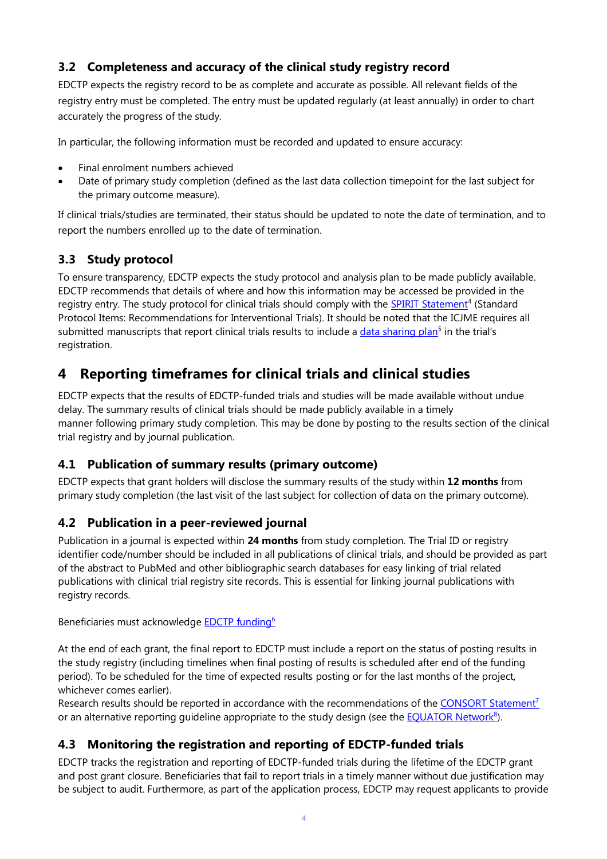#### **3.2 Completeness and accuracy of the clinical study registry record**

EDCTP expects the registry record to be as complete and accurate as possible. All relevant fields of the registry entry must be completed. The entry must be updated regularly (at least annually) in order to chart accurately the progress of the study.

In particular, the following information must be recorded and updated to ensure accuracy:

- Final enrolment numbers achieved
- Date of primary study completion (defined as the last data collection timepoint for the last subject for the primary outcome measure).

If clinical trials/studies are terminated, their status should be updated to note the date of termination, and to report the numbers enrolled up to the date of termination.

#### **3.3 Study protocol**

To ensure transparency, EDCTP expects the study protocol and analysis plan to be made publicly available. EDCTP recommends that details of where and how this information may be accessed be provided in the registry entry. The study protocol for clinical trials should comply with the SPIRIT Statement<sup>4</sup> (Standard Protocol Items: Recommendations for Interventional Trials). It should be noted that the ICJME requires all submitted manuscripts that report clinical trials results to include a [data sharing plan](http://www.icmje.org/news-and-editorials/data_sharing_june_2017.pdf)<sup>5</sup> in the trial's registration.

## **4 Reporting timeframes for clinical trials and clinical studies**

EDCTP expects that the results of EDCTP-funded trials and studies will be made available without undue delay. The summary results of clinical trials should be made publicly available in a timely manner following primary study completion. This may be done by posting to the results section of the clinical trial registry and by journal publication.

#### **4.1 Publication of summary results (primary outcome)**

EDCTP expects that grant holders will disclose the summary results of the study within **12 months** from primary study completion (the last visit of the last subject for collection of data on the primary outcome).

#### **4.2 Publication in a peer-reviewed journal**

Publication in a journal is expected within **24 months** from study completion. The Trial ID or registry identifier code/number should be included in all publications of clinical trials, and should be provided as part of the abstract to PubMed and other bibliographic search databases for easy linking of trial related publications with clinical trial registry site records. This is essential for linking journal publications with registry records.

Beneficiaries must acknowledge [EDCTP funding6](http://www.edctp.org/web/app/uploads/2018/05/Acknowledging-EDCTP-a-guide-for-grantees.pdf)

At the end of each grant, the final report to EDCTP must include a report on the status of posting results in the study registry (including timelines when final posting of results is scheduled after end of the funding period). To be scheduled for the time of expected results posting or for the last months of the project, whichever comes earlier).

Research results should be reported in accordance with the recommendations of the CONSORT Statement<sup>7</sup> or an alternative reporting guideline appropriate to the study design (see the **EQUATOR Network**<sup>8</sup>).

#### **4.3 Monitoring the registration and reporting of EDCTP-funded trials**

EDCTP tracks the registration and reporting of EDCTP-funded trials during the lifetime of the EDCTP grant and post grant closure. Beneficiaries that fail to report trials in a timely manner without due justification may be subject to audit. Furthermore, as part of the application process, EDCTP may request applicants to provide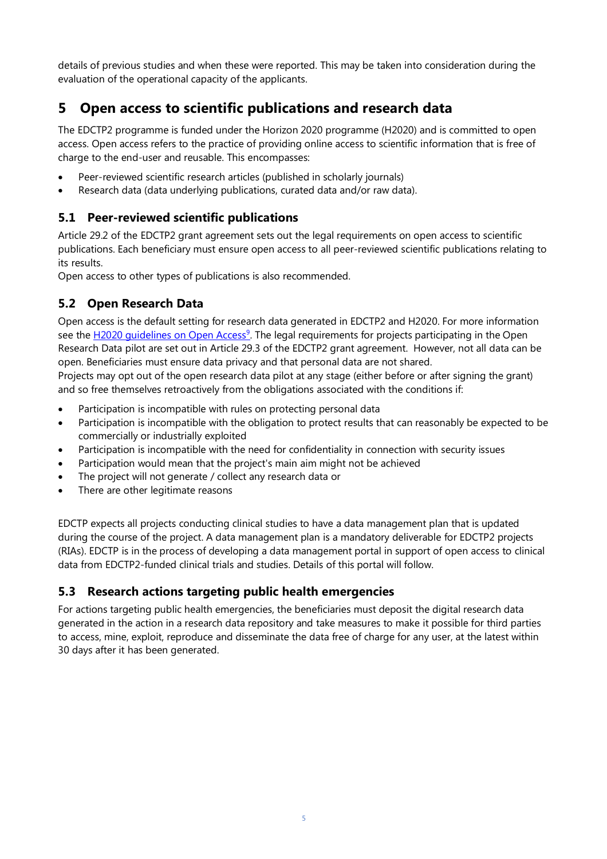details of previous studies and when these were reported. This may be taken into consideration during the evaluation of the operational capacity of the applicants.

## **5 Open access to scientific publications and research data**

The EDCTP2 programme is funded under the Horizon 2020 programme (H2020) and is committed to open access. Open access refers to the practice of providing online access to scientific information that is free of charge to the end-user and reusable. This encompasses:

- Peer-reviewed scientific research articles (published in scholarly journals)
- Research data (data underlying publications, curated data and/or raw data).

#### **5.1 Peer-reviewed scientific publications**

Article 29.2 of the EDCTP2 grant agreement sets out the legal requirements on open access to scientific publications. Each beneficiary must ensure open access to all peer-reviewed scientific publications relating to its results.

Open access to other types of publications is also recommended.

#### **5.2 Open Research Data**

Open access is the default setting for research data generated in EDCTP2 and H2020. For more information see the H2020 quidelines on Open Access<sup>9</sup>. The legal requirements for projects participating in the Open Research Data pilot are set out in Article 29.3 of the EDCTP2 grant agreement. However, not all data can be open. Beneficiaries must ensure data privacy and that personal data are not shared.

Projects may opt out of the open research data pilot at any stage (either before or after signing the grant) and so free themselves retroactively from the obligations associated with the conditions if:

- Participation is incompatible with rules on protecting personal data
- Participation is incompatible with the obligation to protect results that can reasonably be expected to be commercially or industrially exploited
- Participation is incompatible with the need for confidentiality in connection with security issues
- Participation would mean that the project's main aim might not be achieved
- The project will not generate / collect any research data or
- There are other legitimate reasons

EDCTP expects all projects conducting clinical studies to have a data management plan that is updated during the course of the project. A data management plan is a mandatory deliverable for EDCTP2 projects (RIAs). EDCTP is in the process of developing a data management portal in support of open access to clinical data from EDCTP2-funded clinical trials and studies. Details of this portal will follow.

#### **5.3 Research actions targeting public health emergencies**

For actions targeting public health emergencies, the beneficiaries must deposit the digital research data generated in the action in a research data repository and take measures to make it possible for third parties to access, mine, exploit, reproduce and disseminate the data free of charge for any user, at the latest within 30 days after it has been generated.